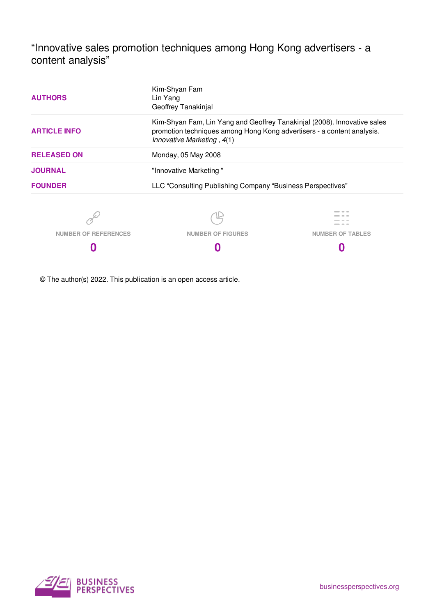"Innovative sales promotion techniques among Hong Kong advertisers - a content analysis"

| <b>AUTHORS</b>              | Kim-Shyan Fam<br>Lin Yang<br>Geoffrey Tanakinjal                                                                                                                                 |                         |  |  |  |  |
|-----------------------------|----------------------------------------------------------------------------------------------------------------------------------------------------------------------------------|-------------------------|--|--|--|--|
| <b>ARTICLE INFO</b>         | Kim-Shyan Fam, Lin Yang and Geoffrey Tanakinjal (2008). Innovative sales<br>promotion techniques among Hong Kong advertisers - a content analysis.<br>Innovative Marketing, 4(1) |                         |  |  |  |  |
| <b>RELEASED ON</b>          | Monday, 05 May 2008                                                                                                                                                              |                         |  |  |  |  |
| <b>JOURNAL</b>              | "Innovative Marketing"                                                                                                                                                           |                         |  |  |  |  |
| <b>FOUNDER</b>              | LLC "Consulting Publishing Company "Business Perspectives"                                                                                                                       |                         |  |  |  |  |
|                             |                                                                                                                                                                                  |                         |  |  |  |  |
| <b>NUMBER OF REFERENCES</b> | <b>NUMBER OF FIGURES</b>                                                                                                                                                         | <b>NUMBER OF TABLES</b> |  |  |  |  |
|                             |                                                                                                                                                                                  |                         |  |  |  |  |

© The author(s) 2022. This publication is an open access article.

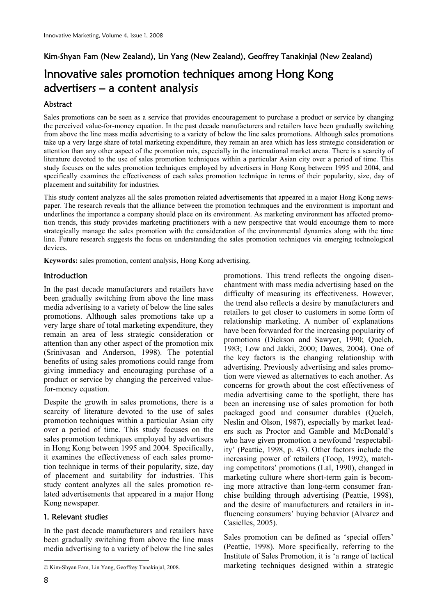## Kim-Shyan Fam (New Zealand), Lin Yang (New Zealand), Geoffrey Tanakinja**l** (New Zealand)

# Innovative sales promotion techniques among Hong Kong advertisers – a content analysis

### Abstract

Sales promotions can be seen as a service that provides encouragement to purchase a product or service by changing the perceived value-for-money equation. In the past decade manufacturers and retailers have been gradually switching from above the line mass media advertising to a variety of below the line sales promotions. Although sales promotions take up a very large share of total marketing expenditure, they remain an area which has less strategic consideration or attention than any other aspect of the promotion mix, especially in the international market arena. There is a scarcity of literature devoted to the use of sales promotion techniques within a particular Asian city over a period of time. This study focuses on the sales promotion techniques employed by advertisers in Hong Kong between 1995 and 2004, and specifically examines the effectiveness of each sales promotion technique in terms of their popularity, size, day of placement and suitability for industries.

This study content analyzes all the sales promotion related advertisements that appeared in a major Hong Kong newspaper. The research reveals that the alliance between the promotion techniques and the environment is important and underlines the importance a company should place on its environment. As marketing environment has affected promotion trends, this study provides marketing practitioners with a new perspective that would encourage them to more strategically manage the sales promotion with the consideration of the environmental dynamics along with the time line. Future research suggests the focus on understanding the sales promotion techniques via emerging technological devices.

**Keywords:** sales promotion, content analysis, Hong Kong advertising.

#### **Introduction**

In the past decade manufacturers and retailers have been gradually switching from above the line mass media advertising to a variety of below the line sales promotions. Although sales promotions take up a very large share of total marketing expenditure, they remain an area of less strategic consideration or attention than any other aspect of the promotion mix (Srinivasan and Anderson, 1998). The potential benefits of using sales promotions could range from giving immediacy and encouraging purchase of a product or service by changing the perceived valuefor-money equation.

Despite the growth in sales promotions, there is a scarcity of literature devoted to the use of sales promotion techniques within a particular Asian city over a period of time. This study focuses on the sales promotion techniques employed by advertisers in Hong Kong between 1995 and 2004. Specifically, it examines the effectiveness of each sales promotion technique in terms of their popularity, size, day of placement and suitability for industries. This study content analyzes all the sales promotion related advertisements that appeared in a major Hong Kong newspaper.

### 1. Relevant studies

In the past decade manufacturers and retailers have been gradually switching from above the line mass media advertising to a variety of below the line sales promotions. This trend reflects the ongoing disenchantment with mass media advertising based on the difficulty of measuring its effectiveness. However, the trend also reflects a desire by manufacturers and retailers to get closer to customers in some form of relationship marketing. A number of explanations have been forwarded for the increasing popularity of promotions (Dickson and Sawyer, 1990; Quelch, 1983; Low and Jakki, 2000; Dawes, 2004). One of the key factors is the changing relationship with advertising. Previously advertising and sales promotion were viewed as alternatives to each another. As concerns for growth about the cost effectiveness of media advertising came to the spotlight, there has been an increasing use of sales promotion for both packaged good and consumer durables (Quelch, Neslin and Olson, 1987), especially by market leaders such as Proctor and Gamble and McDonald's who have given promotion a newfound 'respectability' (Peattie, 1998, p. 43). Other factors include the increasing power of retailers (Toop, 1992), matching competitors' promotions (Lal, 1990), changed in marketing culture where short-term gain is becoming more attractive than long-term consumer franchise building through advertising (Peattie, 1998), and the desire of manufacturers and retailers in influencing consumers' buying behavior (Alvarez and Casielles, 2005).

Sales promotion can be defined as 'special offers' (Peattie, 1998). More specifically, referring to the Institute of Sales Promotion, it is 'a range of tactical marketing techniques designed within a strategic

<sup>-</sup>© Kim-Shyan Fam, Lin Yang, Geoffrey Tanakinjal, 2008.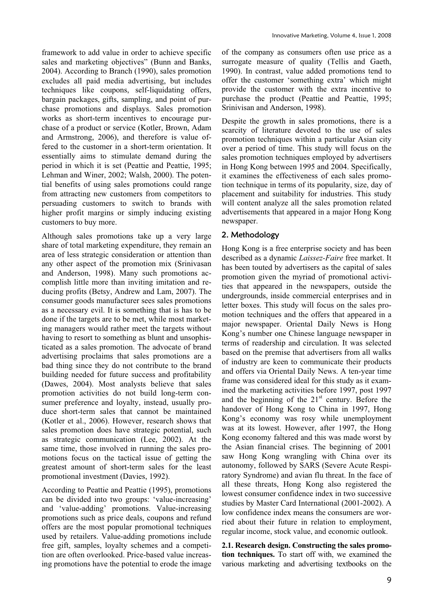framework to add value in order to achieve specific sales and marketing objectives" (Bunn and Banks, 2004). According to Branch (1990), sales promotion excludes all paid media advertising, but includes techniques like coupons, self-liquidating offers, bargain packages, gifts, sampling, and point of purchase promotions and displays. Sales promotion works as short-term incentives to encourage purchase of a product or service (Kotler, Brown, Adam and Armstrong, 2006), and therefore is value offered to the customer in a short-term orientation. It essentially aims to stimulate demand during the period in which it is set (Peattie and Peattie, 1995; Lehman and Winer, 2002; Walsh, 2000). The potential benefits of using sales promotions could range from attracting new customers from competitors to persuading customers to switch to brands with higher profit margins or simply inducing existing customers to buy more.

Although sales promotions take up a very large share of total marketing expenditure, they remain an area of less strategic consideration or attention than any other aspect of the promotion mix (Srinivasan and Anderson, 1998). Many such promotions accomplish little more than inviting imitation and reducing profits (Betsy, Andrew and Lam, 2007). The consumer goods manufacturer sees sales promotions as a necessary evil. It is something that is has to be done if the targets are to be met, while most marketing managers would rather meet the targets without having to resort to something as blunt and unsophisticated as a sales promotion. The advocate of brand advertising proclaims that sales promotions are a bad thing since they do not contribute to the brand building needed for future success and profitability (Dawes, 2004). Most analysts believe that sales promotion activities do not build long-term consumer preference and loyalty, instead, usually produce short-term sales that cannot be maintained (Kotler et al., 2006). However, research shows that sales promotion does have strategic potential, such as strategic communication (Lee, 2002). At the same time, those involved in running the sales promotions focus on the tactical issue of getting the greatest amount of short-term sales for the least promotional investment (Davies, 1992).

According to Peattie and Peattie (1995), promotions can be divided into two groups: 'value-increasing' and 'value-adding' promotions. Value-increasing promotions such as price deals, coupons and refund offers are the most popular promotional techniques used by retailers. Value-adding promotions include free gift, samples, loyalty schemes and a competition are often overlooked. Price-based value increasing promotions have the potential to erode the image

of the company as consumers often use price as a surrogate measure of quality (Tellis and Gaeth, 1990). In contrast, value added promotions tend to offer the customer 'something extra' which might provide the customer with the extra incentive to purchase the product (Peattie and Peattie, 1995; Srinivisan and Anderson, 1998).

Despite the growth in sales promotions, there is a scarcity of literature devoted to the use of sales promotion techniques within a particular Asian city over a period of time. This study will focus on the sales promotion techniques employed by advertisers in Hong Kong between 1995 and 2004. Specifically, it examines the effectiveness of each sales promotion technique in terms of its popularity, size, day of placement and suitability for industries. This study will content analyze all the sales promotion related advertisements that appeared in a major Hong Kong newspaper.

## 2. Methodology

Hong Kong is a free enterprise society and has been described as a dynamic *Laissez-Faire* free market. It has been touted by advertisers as the capital of sales promotion given the myriad of promotional activities that appeared in the newspapers, outside the undergrounds, inside commercial enterprises and in letter boxes. This study will focus on the sales promotion techniques and the offers that appeared in a major newspaper. Oriental Daily News is Hong Kong's number one Chinese language newspaper in terms of readership and circulation. It was selected based on the premise that advertisers from all walks of industry are keen to communicate their products and offers via Oriental Daily News. A ten-year time frame was considered ideal for this study as it examined the marketing activities before 1997, post 1997 and the beginning of the  $21<sup>st</sup>$  century. Before the handover of Hong Kong to China in 1997, Hong Kong's economy was rosy while unemployment was at its lowest. However, after 1997, the Hong Kong economy faltered and this was made worst by the Asian financial crises. The beginning of 2001 saw Hong Kong wrangling with China over its autonomy, followed by SARS (Severe Acute Respiratory Syndrome) and avian flu threat. In the face of all these threats, Hong Kong also registered the lowest consumer confidence index in two successive studies by Master Card International (2001-2002). A low confidence index means the consumers are worried about their future in relation to employment, regular income, stock value, and economic outlook.

**2.1. Research design. Constructing the sales promotion techniques.** To start off with, we examined the various marketing and advertising textbooks on the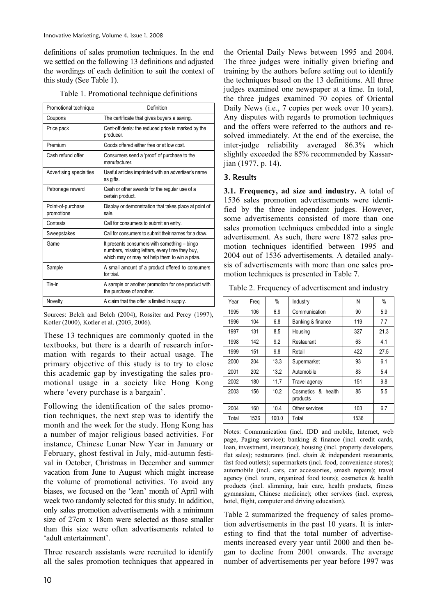definitions of sales promotion techniques. In the end we settled on the following 13 definitions and adjusted the wordings of each definition to suit the context of this study (See Table 1).

| Promotional technique           | Definition                                                                                                                                       |
|---------------------------------|--------------------------------------------------------------------------------------------------------------------------------------------------|
| Coupons                         | The certificate that gives buyers a saving.                                                                                                      |
| Price pack                      | Cent-off deals: the reduced price is marked by the<br>producer.                                                                                  |
| Premium                         | Goods offered either free or at low cost.                                                                                                        |
| Cash refund offer               | Consumers send a 'proof' of purchase to the<br>manufacturer.                                                                                     |
| Advertising specialties         | Useful articles imprinted with an advertiser's name<br>as gifts.                                                                                 |
| Patronage reward                | Cash or other awards for the regular use of a<br>certain product.                                                                                |
| Point-of-purchase<br>promotions | Display or demonstration that takes place at point of<br>sale.                                                                                   |
| Contests                        | Call for consumers to submit an entry.                                                                                                           |
| Sweepstakes                     | Call for consumers to submit their names for a draw.                                                                                             |
| Game                            | It presents consumers with something - bingo<br>numbers, missing letters, every time they buy,<br>which may or may not help them to win a prize. |
| Sample                          | A small amount of a product offered to consumers<br>for trial.                                                                                   |
| Tie-in                          | A sample or another promotion for one product with<br>the purchase of another.                                                                   |
| Novelty                         | A claim that the offer is limited in supply.                                                                                                     |

Table 1. Promotional technique definitions

Sources: Belch and Belch (2004), Rossiter and Percy (1997), Kotler (2000), Kotler et al. (2003, 2006).

These 13 techniques are commonly quoted in the textbooks, but there is a dearth of research information with regards to their actual usage. The primary objective of this study is to try to close this academic gap by investigating the sales promotional usage in a society like Hong Kong where 'every purchase is a bargain'.

Following the identification of the sales promotion techniques, the next step was to identify the month and the week for the study. Hong Kong has a number of major religious based activities. For instance, Chinese Lunar New Year in January or February, ghost festival in July, mid-autumn festival in October, Christmas in December and summer vacation from June to August which might increase the volume of promotional activities. To avoid any biases, we focused on the 'lean' month of April with week two randomly selected for this study. In addition, only sales promotion advertisements with a minimum size of 27cm x 18cm were selected as those smaller than this size were often advertisements related to 'adult entertainment'.

Three research assistants were recruited to identify all the sales promotion techniques that appeared in the Oriental Daily News between 1995 and 2004. The three judges were initially given briefing and training by the authors before setting out to identify the techniques based on the 13 definitions. All three judges examined one newspaper at a time. In total, the three judges examined 70 copies of Oriental Daily News (i.e., 7 copies per week over 10 years). Any disputes with regards to promotion techniques and the offers were referred to the authors and resolved immediately. At the end of the exercise, the inter-judge reliability averaged 86.3% which slightly exceeded the 85% recommended by Kassarjian (1977, p. 14).

#### 3. Results

**3.1. Frequency, ad size and industry.** A total of 1536 sales promotion advertisements were identified by the three independent judges. However, some advertisements consisted of more than one sales promotion techniques embedded into a single advertisement. As such, there were 1872 sales promotion techniques identified between 1995 and 2004 out of 1536 advertisements. A detailed analysis of advertisements with more than one sales promotion techniques is presented in Table 7.

Table 2. Frequency of advertisement and industry

| Year  | Freq | %     | Industry                          | N    | %    |
|-------|------|-------|-----------------------------------|------|------|
| 1995  | 106  | 6.9   | Communication                     | 90   | 5.9  |
| 1996  | 104  | 6.8   | Banking & finance                 | 119  | 7.7  |
| 1997  | 131  | 8.5   | Housing                           | 327  | 21.3 |
| 1998  | 142  | 9.2   | Restaurant                        | 63   | 4.1  |
| 1999  | 151  | 9.8   | Retail                            | 422  | 27.5 |
| 2000  | 204  | 13.3  | Supermarket                       | 93   | 6.1  |
| 2001  | 202  | 13.2  | Automobile                        | 83   | 5.4  |
| 2002  | 180  | 11.7  | Travel agency                     | 151  | 9.8  |
| 2003  | 156  | 10.2  | Cosmetics &<br>health<br>products | 85   | 5.5  |
| 2004  | 160  | 10.4  | Other services                    | 103  | 6.7  |
| Total | 1536 | 100.0 | Total                             | 1536 |      |

Notes: Communication (incl. IDD and mobile, Internet, web page, Paging service); banking & finance (incl. credit cards, loan, investment, insurance); housing (incl. property developers, flat sales); restaurants (incl. chain & independent restaurants, fast food outlets); supermarkets (incl. food, convenience stores); automobile (incl. cars, car accessories, smash repairs); travel agency (incl. tours, organized food tours); cosmetics & health products (incl. slimming, hair care, health products, fitness gymnasium, Chinese medicine); other services (incl. express, hotel, flight, computer and driving education).

Table 2 summarized the frequency of sales promotion advertisements in the past 10 years. It is interesting to find that the total number of advertisements increased every year until 2000 and then began to decline from 2001 onwards. The average number of advertisements per year before 1997 was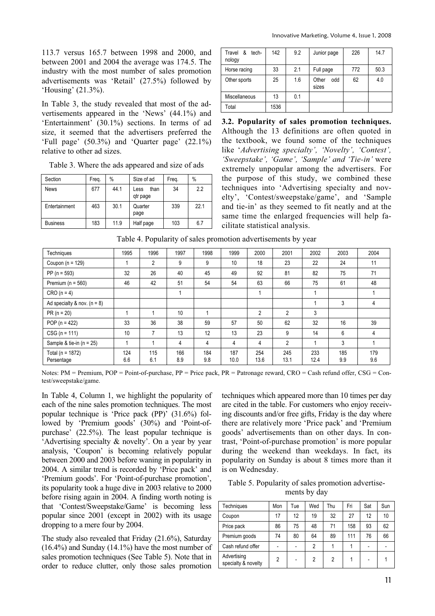113.7 versus 165.7 between 1998 and 2000, and between 2001 and 2004 the average was 174.5. The industry with the most number of sales promotion advertisements was 'Retail' (27.5%) followed by 'Housing' (21.3%).

In Table 3, the study revealed that most of the advertisements appeared in the 'News' (44.1%) and 'Entertainment' (30.1%) sections. In terms of ad size, it seemed that the advertisers preferred the 'Full page' (50.3%) and 'Quarter page' (22.1%) relative to other ad sizes.

Table 3. Where the ads appeared and size of ads

| Section         | Freq. | %    | Size of ad               | Freq. | $\%$ |
|-----------------|-------|------|--------------------------|-------|------|
| <b>News</b>     | 677   | 44.1 | than<br>Less<br>qtr page | 34    | 2.2  |
| Entertainment   | 463   | 30.1 | Quarter<br>page          | 339   | 22.1 |
| <b>Business</b> | 183   | 11.9 | Half page                | 103   | 6.7  |

| &<br>Travel<br>tech-<br>nology | 142  | 9.2 | Junior page           | 226 | 14.7 |
|--------------------------------|------|-----|-----------------------|-----|------|
| Horse racing                   | 33   | 2.1 | Full page             | 772 | 50.3 |
| Other sports                   | 25   | 1.6 | Other<br>odd<br>sizes | 62  | 4.0  |
| Miscellaneous                  | 13   | 0.1 |                       |     |      |
| Total                          | 1536 |     |                       |     |      |

**3.2. Popularity of sales promotion techniques.**  Although the 13 definitions are often quoted in the textbook, we found some of the techniques like '*Advertising specialty', 'Novelty', 'Contest', 'Sweepstake', 'Game', 'Sample' and 'Tie-in'* were extremely unpopular among the advertisers. For the purpose of this study, we combined these techniques into 'Advertising specialty and novelty', 'Contest/sweepstake/game', and 'Sample and tie-in' as they seemed to fit neatly and at the same time the enlarged frequencies will help facilitate statistical analysis.

| Table 4. Popularity of sales promotion advertisements by year |  |  |  |  |  |  |
|---------------------------------------------------------------|--|--|--|--|--|--|
|---------------------------------------------------------------|--|--|--|--|--|--|

| Techniques                         | 1995       | 1996           | 1997       | 1998       | 1999        | 2000           | 2001           | 2002        | 2003       | 2004       |
|------------------------------------|------------|----------------|------------|------------|-------------|----------------|----------------|-------------|------------|------------|
| Coupon ( $n = 129$ )               |            | $\overline{2}$ | 9          | 9          | 10          | 18             | 23             | 22          | 24         | 11         |
| $PP (n = 593)$                     | 32         | 26             | 40         | 45         | 49          | 92             | 81             | 82          | 75         | 71         |
| Premium ( $n = 560$ )              | 46         | 42             | 51         | 54         | 54          | 63             | 66             | 75          | 61         | 48         |
| $CRO(n = 4)$                       |            |                |            |            |             |                |                | 1           |            |            |
| Ad specialty & nov. $(n = 8)$      |            |                |            |            |             |                |                |             | 3          | 4          |
| $PR (n = 20)$                      |            |                | 10         |            |             | $\overline{2}$ | $\overline{2}$ | 3           |            |            |
| POP ( $n = 422$ )                  | 33         | 36             | 38         | 59         | 57          | 50             | 62             | 32          | 16         | 39         |
| $CSG (n = 111)$                    | 10         | 7              | 13         | 12         | 13          | 23             | 9              | 14          | 6          | 4          |
| Sample & tie-in $(n = 25)$         |            |                | 4          | 4          | 4           | 4              | 2              | 1           | 3          |            |
| Total ( $n = 1872$ )<br>Persentage | 124<br>6.6 | 115<br>6.1     | 166<br>8.9 | 184<br>9.8 | 187<br>10.0 | 254<br>13.6    | 245<br>13.1    | 233<br>12.4 | 185<br>9.9 | 179<br>9.6 |

Notes:  $PM =$  Premium,  $POP = Point-of-purchase$ ,  $PP = Price$  pack,  $PR = Patronage$  reward,  $CRO = Cash$  refund offer,  $CSG = Con$ test/sweepstake/game.

In Table 4, Column 1, we highlight the popularity of each of the nine sales promotion techniques. The most popular technique is 'Price pack (PP)' (31.6%) followed by 'Premium goods' (30%) and 'Point-ofpurchase' (22.5%). The least popular technique is 'Advertising specialty & novelty'. On a year by year analysis, 'Coupon' is becoming relatively popular between 2000 and 2003 before waning in popularity in 2004. A similar trend is recorded by 'Price pack' and 'Premium goods'. For 'Point-of-purchase promotion', its popularity took a huge dive in 2003 relative to 2000 before rising again in 2004. A finding worth noting is that 'Contest/Sweepstake/Game' is becoming less popular since 2001 (except in 2002) with its usage dropping to a mere four by 2004.

The study also revealed that Friday (21.6%), Saturday (16.4%) and Sunday (14.1%) have the most number of sales promotion techniques (See Table 5). Note that in order to reduce clutter, only those sales promotion

techniques which appeared more than 10 times per day are cited in the table. For customers who enjoy receiving discounts and/or free gifts, Friday is the day where there are relatively more 'Price pack' and 'Premium goods' advertisements than on other days. In contrast, 'Point-of-purchase promotion' is more popular during the weekend than weekdays. In fact, its popularity on Sunday is about 8 times more than it is on Wednesday.

Table 5. Popularity of sales promotion advertisements by day

| Techniques                         | Mon | Tue | Wed | Thu | Fri | Sat | Sun |
|------------------------------------|-----|-----|-----|-----|-----|-----|-----|
| Coupon                             | 17  | 12  | 19  | 32  | 27  | 12  | 10  |
| Price pack                         | 86  | 75  | 48  | 71  | 158 | 93  | 62  |
| Premium goods                      | 74  | 80  | 64  | 89  | 111 | 76  | 66  |
| Cash refund offer                  |     |     | 2   |     |     |     |     |
| Advertising<br>specialty & novelty | 2   |     | 2   | 2   |     |     |     |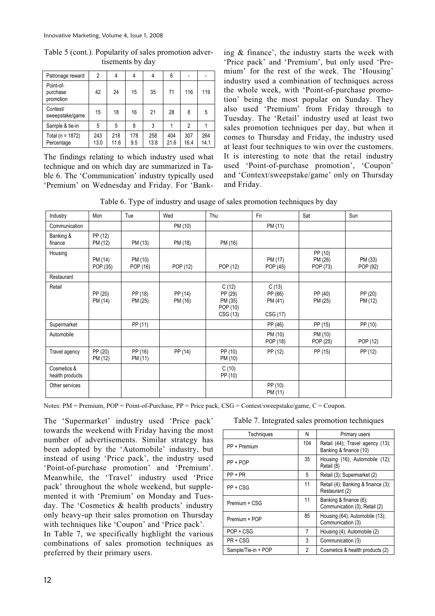Table 5 (cont.). Popularity of sales promotion advertisements by day

| Patronage reward                   | 2           | 4           | 4          | 4           | 6           |             |             |
|------------------------------------|-------------|-------------|------------|-------------|-------------|-------------|-------------|
| Point-of-<br>purchase<br>promotion | 42          | 24          | 15         | 35          | 71          | 116         | 119         |
| Contest/<br>sweepstake/game        | 15          | 18          | 16         | 21          | 28          | 8           | 5           |
| Sample & tie-in                    | 5           | 5           | 8          | 3           |             | 2           |             |
| Total ( $n = 1872$ )<br>Percentage | 243<br>13.0 | 218<br>11.6 | 178<br>9.5 | 258<br>13.8 | 404<br>21.6 | 307<br>16.4 | 264<br>14.1 |

The findings relating to which industry used what technique and on which day are summarized in Table 6. The 'Communication' industry typically used 'Premium' on Wednesday and Friday. For 'Banking & finance', the industry starts the week with 'Price pack' and 'Premium', but only used 'Premium' for the rest of the week. The 'Housing' industry used a combination of techniques across the whole week, with 'Point-of-purchase promotion' being the most popular on Sunday. They also used 'Premium' from Friday through to Tuesday. The 'Retail' industry used at least two sales promotion techniques per day, but when it comes to Thursday and Friday, the industry used at least four techniques to win over the customers. It is interesting to note that the retail industry used 'Point-of-purchase promotion', 'Coupon' and 'Context/sweepstake/game' only on Thursday and Friday.

Table 6. Type of industry and usage of sales promotion techniques by day

| Industry                       | Mon                 | Tue                 | Wed                | Thu                                                 | Fri                                     | Sat                            | Sun                 |
|--------------------------------|---------------------|---------------------|--------------------|-----------------------------------------------------|-----------------------------------------|--------------------------------|---------------------|
| Communication                  |                     |                     | PM (10)            |                                                     | PM (11)                                 |                                |                     |
| Banking &<br>finance           | PP (12)<br>PM (12)  | PM (13)             | PM (18)            | PM (16)                                             |                                         |                                |                     |
| Housing                        | PM (14)<br>POP (35) | PM (10)<br>POP (16) | POP (12)           | POP (12)                                            | PM (17)<br>POP (45)                     | PP (10)<br>PM (26)<br>POP (73) | PM (33)<br>POP (92) |
| Restaurant                     |                     |                     |                    |                                                     |                                         |                                |                     |
| Retail                         | PP (20)<br>PM (14)  | PP (18)<br>PM (25)  | PP (14)<br>PM (16) | C(12)<br>PP (29)<br>PM (35)<br>POP (10)<br>CSG (13) | C(13)<br>PP (66)<br>PM (41)<br>CSG (17) | PP (40)<br>PM (25)             | PP (20)<br>PM (12)  |
| Supermarket                    |                     | PP (11)             |                    |                                                     | PP (46)                                 | PP (15)                        | PP (10)             |
| Automobile                     |                     |                     |                    |                                                     | PM (10)<br>POP (18)                     | PM (10)<br>POP (25)            | POP (12)            |
| Travel agency                  | PP (20)<br>PM (12)  | PP (16)<br>PM (11)  | PP (14)            | PP (10)<br>PM (10)                                  | PP (12)                                 | PP (15)                        | PP (12)             |
| Cosmetics &<br>health products |                     |                     |                    | C(10)<br>PP (10)                                    |                                         |                                |                     |
| Other services                 |                     |                     |                    |                                                     | PP (10)<br>PM (11)                      |                                |                     |

Notes: PM = Premium, POP = Point-of-Purchase, PP = Price pack, CSG = Contest/sweepstake/game, C = Coupon.

The 'Supermarket' industry used 'Price pack' towards the weekend with Friday having the most number of advertisements. Similar strategy has been adopted by the 'Automobile' industry, but instead of using 'Price pack', the industry used 'Point-of-purchase promotion' and 'Premium'. Meanwhile, the 'Travel' industry used 'Price pack' throughout the whole weekend, but supplemented it with 'Premium' on Monday and Tuesday. The 'Cosmetics & health products' industry only heavy-up their sales promotion on Thursday with techniques like 'Coupon' and 'Price pack'.

In Table 7, we specifically highlight the various combinations of sales promotion techniques as preferred by their primary users.

| Techniques          | Ν   | Primary users                                              |
|---------------------|-----|------------------------------------------------------------|
| PP + Premium        | 104 | Retail (44), Travel agency (13);<br>Banking & finance (10) |
| PP + POP            | 35  | Housing (16); Automobile (12);<br>Retail (8)               |
| $PP + PR$           | 5   | Retail (3); Supermarket (2)                                |
| $PP + CSG$          | 11  | Retail (4); Banking & finance (3);<br>Restaurant (2)       |
| Premium + CSG       | 11  | Banking & finance (6).<br>Communication (3); Retail (2)    |
| Premium + POP       | 85  | Housing (64); Automobile (13);<br>Communication (3)        |
| POP + CSG           | 7   | Housing (4); Automobile (2)                                |
| $PR + CSG$          | 3   | Communication (3)                                          |
| Sample/Tie-in + POP | 2   | Cosmetics & health products (2)                            |
|                     |     |                                                            |

Table 7. Integrated sales promotion techniques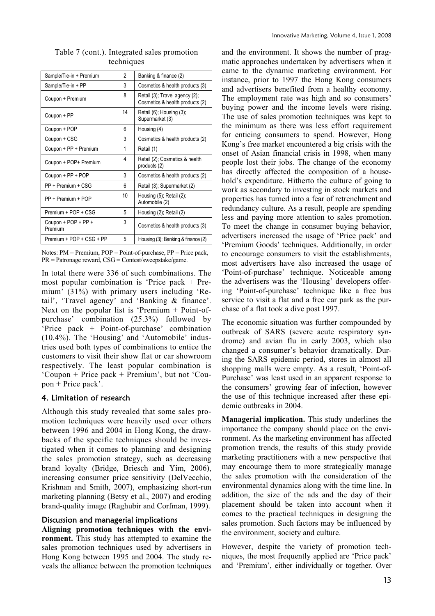| Sample/Tie-in + Premium        | 2  | Banking & finance (2)                                             |
|--------------------------------|----|-------------------------------------------------------------------|
| Sample/Tie-in + PP             | 3  | Cosmetics & health products (3)                                   |
| Coupon + Premium               | 8  | Retail (3), Travel agency (2);<br>Cosmetics & health products (2) |
| Coupon + PP                    | 14 | Retail (6), Housing (3),<br>Supermarket (3)                       |
| Coupon + POP                   | 6  | Housing (4)                                                       |
| Coupon + CSG                   | 3  | Cosmetics & health products (2)                                   |
| Coupon + PP + Premium          | 1  | Retail (1)                                                        |
| Coupon + POP+ Premium          | 4  | Retail (2); Cosmetics & health<br>products (2)                    |
| Coupon + PP + POP              | 3  | Cosmetics & health products (2)                                   |
| PP + Premium + CSG             | 6  | Retail (3); Supermarket (2)                                       |
| PP + Premium + POP             | 10 | Housing (5); Retail (2);<br>Automobile (2)                        |
| Premium + POP + CSG            | 5  | Housing (2); Retail (2)                                           |
| Coupon + POP + PP +<br>Premium | 3  | Cosmetics & health products (3)                                   |
| Premium + POP + CSG + PP       | 5  | Housing (3); Banking & finance (2)                                |

Table 7 (cont.). Integrated sales promotion techniques

Notes: PM = Premium, POP = Point-of-purchase, PP = Price pack, PR = Patronage reward, CSG = Contest/sweepstake/game.

In total there were 336 of such combinations. The most popular combination is 'Price pack + Premium' (31%) with primary users including 'Retail', 'Travel agency' and 'Banking & finance'. Next on the popular list is 'Premium  $+$  Point-ofpurchase' combination (25.3%) followed by 'Price pack + Point-of-purchase' combination (10.4%). The 'Housing' and 'Automobile' industries used both types of combinations to entice the customers to visit their show flat or car showroom respectively. The least popular combination is 'Coupon + Price pack + Premium', but not 'Coupon + Price pack'.

## 4. Limitation of research

Although this study revealed that some sales promotion techniques were heavily used over others between 1996 and 2004 in Hong Kong, the drawbacks of the specific techniques should be investigated when it comes to planning and designing the sales promotion strategy, such as decreasing brand loyalty (Bridge, Briesch and Yim, 2006), increasing consumer price sensitivity (DelVecchio, Krishnan and Smith, 2007), emphasizing short-run marketing planning (Betsy et al., 2007) and eroding brand-quality image (Raghubir and Corfman, 1999).

## Discussion and managerial implications

**Aligning promotion techniques with the environment.** This study has attempted to examine the sales promotion techniques used by advertisers in Hong Kong between 1995 and 2004. The study reveals the alliance between the promotion techniques

and the environment. It shows the number of pragmatic approaches undertaken by advertisers when it came to the dynamic marketing environment. For instance, prior to 1997 the Hong Kong consumers and advertisers benefited from a healthy economy. The employment rate was high and so consumers' buying power and the income levels were rising. The use of sales promotion techniques was kept to the minimum as there was less effort requirement for enticing consumers to spend. However, Hong Kong's free market encountered a big crisis with the onset of Asian financial crisis in 1998, when many people lost their jobs. The change of the economy has directly affected the composition of a household's expenditure. Hitherto the culture of going to work as secondary to investing in stock markets and properties has turned into a fear of retrenchment and redundancy culture. As a result, people are spending less and paying more attention to sales promotion. To meet the change in consumer buying behavior, advertisers increased the usage of 'Price pack' and 'Premium Goods' techniques. Additionally, in order to encourage consumers to visit the establishments, most advertisers have also increased the usage of 'Point-of-purchase' technique. Noticeable among the advertisers was the 'Housing' developers offering 'Point-of-purchase' technique like a free bus service to visit a flat and a free car park as the purchase of a flat took a dive post 1997.

The economic situation was further compounded by outbreak of SARS (severe acute respiratory syndrome) and avian flu in early 2003, which also changed a consumer's behavior dramatically. During the SARS epidemic period, stores in almost all shopping malls were empty. As a result, 'Point-of-Purchase' was least used in an apparent response to the consumers' growing fear of infection, however the use of this technique increased after these epidemic outbreaks in 2004.

**Managerial implication.** This study underlines the importance the company should place on the environment. As the marketing environment has affected promotion trends, the results of this study provide marketing practitioners with a new perspective that may encourage them to more strategically manage the sales promotion with the consideration of the environmental dynamics along with the time line. In addition, the size of the ads and the day of their placement should be taken into account when it comes to the practical techniques in designing the sales promotion. Such factors may be influenced by the environment, society and culture.

However, despite the variety of promotion techniques, the most frequently applied are 'Price pack' and 'Premium', either individually or together. Over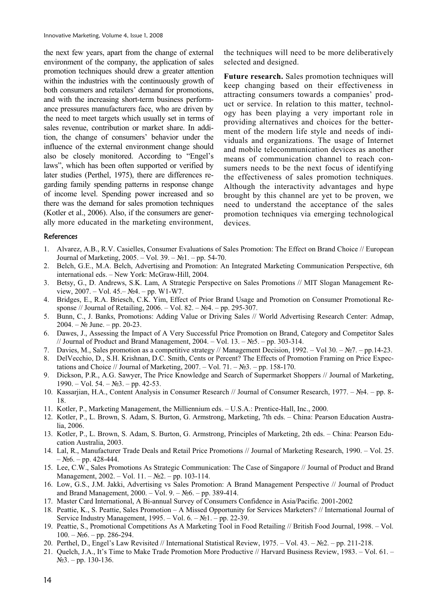the next few years, apart from the change of external environment of the company, the application of sales promotion techniques should drew a greater attention within the industries with the continuously growth of both consumers and retailers' demand for promotions, and with the increasing short-term business performance pressures manufacturers face, who are driven by the need to meet targets which usually set in terms of sales revenue, contribution or market share. In addition, the change of consumers' behavior under the influence of the external environment change should also be closely monitored. According to "Engel's laws", which has been often supported or verified by later studies (Perthel, 1975), there are differences regarding family spending patterns in response change of income level. Spending power increased and so there was the demand for sales promotion techniques (Kotler et al., 2006). Also, if the consumers are generally more educated in the marketing environment, the techniques will need to be more deliberatively selected and designed.

**Future research.** Sales promotion techniques will keep changing based on their effectiveness in attracting consumers towards a companies' product or service. In relation to this matter, technology has been playing a very important role in providing alternatives and choices for the betterment of the modern life style and needs of individuals and organizations. The usage of Internet and mobile telecommunication devices as another means of communication channel to reach consumers needs to be the next focus of identifying the effectiveness of sales promotion techniques. Although the interactivity advantages and hype brought by this channel are yet to be proven, we need to understand the acceptance of the sales promotion techniques via emerging technological devices.

#### References

- 1. Alvarez, A.B., R.V. Casielles, Consumer Evaluations of Sales Promotion: The Effect on Brand Choice // European Journal of Marketing,  $2005. - Vol. 39. - *N*<sub>2</sub>*l*. - pp. 54-70.$
- 2. Belch, G.E., M.A. Belch, Advertising and Promotion: An Integrated Marketing Communication Perspective, 6th international eds. – New York: McGraw-Hill, 2004.
- 3. Betsy, G., D. Andrews, S.K. Lam, A Strategic Perspective on Sales Promotions // MIT Slogan Management Review,  $2007. - Vol. 45. - N<sub>2</sub>4. - pp. W1-W7.$
- 4. Bridges, E., R.A. Briesch, C.K. Yim, Effect of Prior Brand Usage and Promotion on Consumer Promotional Response // Journal of Retailing,  $2006. -$  Vol. 82. –  $N<sub>2</sub>4. -$  pp. 295-307.
- 5. Bunn, C., J. Banks, Promotions: Adding Value or Driving Sales // World Advertising Research Center: Admap,  $2004. - N_2$  June. – pp. 20-23.
- 6. Dawes, J., Assessing the Impact of A Very Successful Price Promotion on Brand, Category and Competitor Sales // Journal of Product and Brand Management,  $2004. - Vol. 13. - N5. - pp. 303-314.$
- 7. Davies, M., Sales promotion as a competitive strategy // Management Decision, 1992. Vol 30. Nº7. pp.14-23.
- 8. DelVecchio, D., S.H. Krishnan, D.C. Smith, Cents or Percent? The Effects of Promotion Framing on Price Expectations and Choice // Journal of Marketing,  $2007. -$  Vol.  $71. -$  N<sup>o</sup> $3. -$  pp. 158-170.
- 9. Dickson, P.R., A.G. Sawyer, The Price Knowledge and Search of Supermarket Shoppers // Journal of Marketing,  $1990. - Vol. 54. - N<sub>2</sub>3. - pp. 42-53.$
- 10. Kassarjian, H.A., Content Analysis in Consumer Research // Journal of Consumer Research, 1977. №4. pp. 8-18.
- 11. Kotler, P., Marketing Management, the Milliennium eds. U.S.A.: Prentice-Hall, Inc., 2000.
- 12. Kotler, P., L. Brown, S. Adam, S. Burton, G. Armstrong, Marketing, 7th eds. China: Pearson Education Australia, 2006.
- 13. Kotler, P., L. Brown, S. Adam, S. Burton, G. Armstrong, Principles of Marketing, 2th eds. China: Pearson Education Australia, 2003.
- 14. Lal, R., Manufacturer Trade Deals and Retail Price Promotions // Journal of Marketing Research, 1990. Vol. 25.  $-$  N<sup>o</sup>6. – pp. 428-444.
- 15. Lee, C.W., Sales Promotions As Strategic Communication: The Case of Singapore // Journal of Product and Brand Management,  $2002. - Vol. 11. - N<sub>2</sub>2. - pp. 103-114.$
- 16. Low, G.S., J.M. Jakki, Advertising vs Sales Promotion: A Brand Management Perspective // Journal of Product and Brand Management,  $2000. - Vol. 9. - N<sub>2</sub>6. - pp. 389-414.$
- 17. Master Card International, A Bi-annual Survey of Consumers Confidence in Asia/Pacific. 2001-2002
- 18. Peattie, K., S. Peattie, Sales Promotion A Missed Opportunity for Services Marketers? // International Journal of Service Industry Management,  $1995. - Vol. 6. - N<sub>2</sub>1. - pp. 22-39.$
- 19. Peattie, S., Promotional Competitions As A Marketing Tool in Food Retailing // British Food Journal, 1998. Vol.  $100. - N<sub>2</sub>6. - pp. 286-294.$
- 20. Perthel, D., Engel's Law Revisited // International Statistical Review, 1975. Vol. 43. Nº2. pp. 211-218.
- 21. Quelch, J.A., It's Time to Make Trade Promotion More Productive // Harvard Business Review, 1983. Vol. 61.  $N<sub>23</sub> - pp. 130-136.$